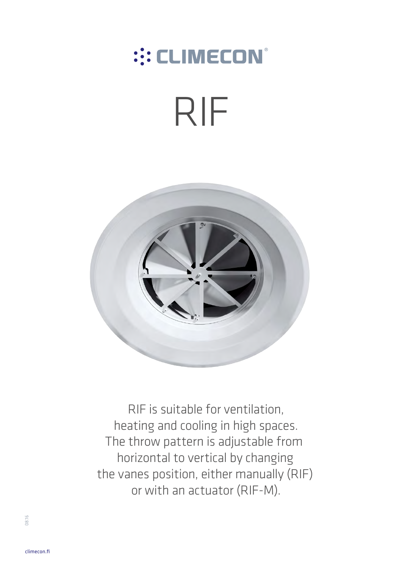## ::: CLIMECON®

# RIF



RIF is suitable for ventilation, heating and cooling in high spaces. The throw pattern is adjustable from horizontal to vertical by changing the vanes position, either manually (RIF) or with an actuator (RIF-M).

08.16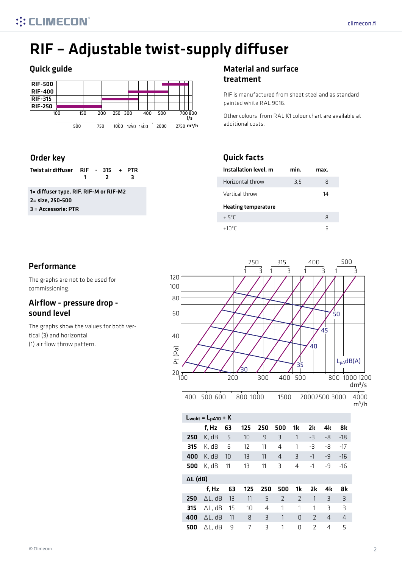## RIF – Adjustable twist-supply diffuser

#### Quick guide **Material and Surface** Material and surface



#### Order key

| Twist air diffuser RIF - $315 + PTR$                                                                                                                                                                                                                                                                                                           |  |  |     |  |  |
|------------------------------------------------------------------------------------------------------------------------------------------------------------------------------------------------------------------------------------------------------------------------------------------------------------------------------------------------|--|--|-----|--|--|
|                                                                                                                                                                                                                                                                                                                                                |  |  | - 3 |  |  |
| $1 - d$ : $\mathbf{f}$ . $\mathbf{f}$ . $\mathbf{f}$ . $\mathbf{f}$ . $\mathbf{f}$ . $\mathbf{f}$ . $\mathbf{f}$ . $\mathbf{f}$ . $\mathbf{f}$ . $\mathbf{f}$ . $\mathbf{f}$ . $\mathbf{f}$ . $\mathbf{f}$ . $\mathbf{f}$ . $\mathbf{f}$ . $\mathbf{f}$ . $\mathbf{f}$ . $\mathbf{f}$ . $\mathbf{f}$ . $\mathbf{f}$ . $\mathbf{f}$ . $\mathbf$ |  |  |     |  |  |

1= diffuser type, RIF, RIF-M or RIF-M2 2= size, 250-500 3 = Accessorie: PTR

## treatment

RIF is manufactured from sheet steel and as standard painted white RAL 9016.

Other colours from RAL K1 colour chart are available at additional costs.

#### Quick facts

| Installation level, m      | min. | max. |
|----------------------------|------|------|
| Horizontal throw           | 3.5  | 8    |
| Vertical throw             |      | 14   |
| <b>Heating temperature</b> |      |      |
| $+5^{\circ}$ C             |      | 8    |
| +10°C                      |      |      |



The graphs are not to be used for commissioning.

#### Airflow - pressure drop sound level

The graphs show the values for both vertical (3) and horizontal (1) air flow throw pattern.

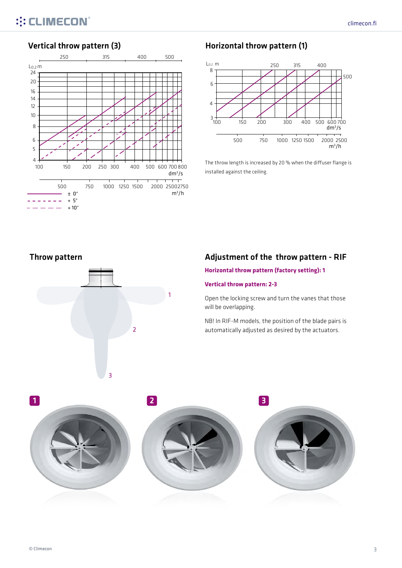

#### Vertical throw pattern (3) Vertical throw pattern (1)



The throw length is increased by 20 % when the diffuser flange is installed against the ceiling.

Throw pattern



#### Adjustment of the throw pattern - RIF

**Horizontal throw pattern (factory setting): 1**

#### **Vertical throw pattern: 2-3**

Open the locking screw and turn the vanes that those will be overlapping.

NB! In RIF-M models, the position of the blade pairs is automatically adjusted as desired by the actuators.

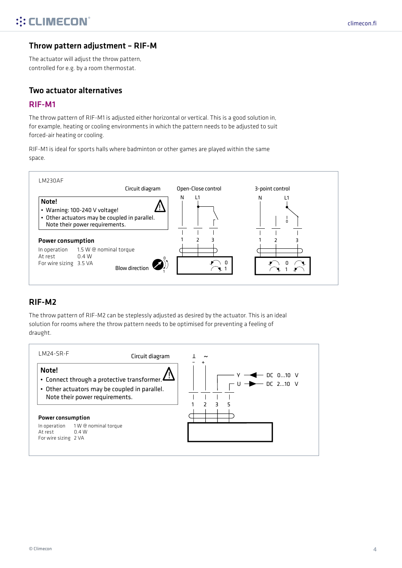#### Throw pattern adjustment – RIF-M

The actuator will adjust the throw pattern, controlled for e.g. by a room thermostat.

#### Two actuator alternatives

#### RIF-M1

The throw pattern of RIF-M1 is adjusted either horizontal or vertical. This is a good solution in, for example, heating or cooling environments in which the pattern needs to be adjusted to suit forced-air heating or cooling.

RIF-M1 is ideal for sports halls where badminton or other games are played within the same space.



#### RIF-M2

The throw pattern of RIF-M2 can be steplessly adjusted as desired by the actuator. This is an ideal solution for rooms where the throw pattern needs to be optimised for preventing a feeling of draught.